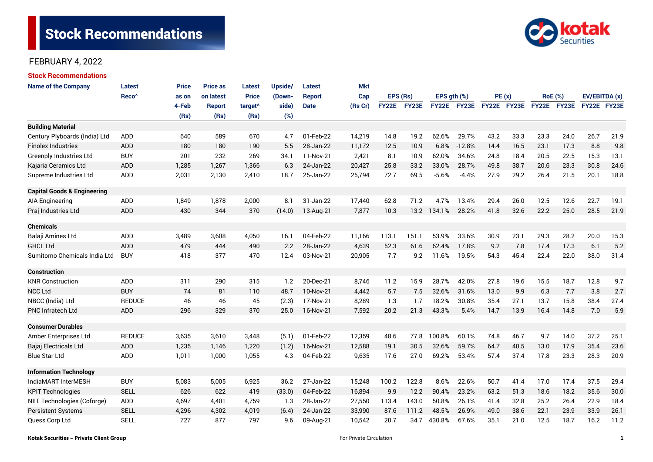

| <b>Stock Recommendations</b>           |                   |       |                 |                     |                                                                                                |               |            |              |       |               |             |             |      |                |             |               |      |
|----------------------------------------|-------------------|-------|-----------------|---------------------|------------------------------------------------------------------------------------------------|---------------|------------|--------------|-------|---------------|-------------|-------------|------|----------------|-------------|---------------|------|
| <b>Name of the Company</b>             | <b>Latest</b>     | Price | <b>Price as</b> | Latest              | Upside/                                                                                        | <b>Latest</b> | <b>Mkt</b> |              |       |               |             |             |      |                |             |               |      |
|                                        | Reco <sup>^</sup> | as on | on latest       | <b>Price</b>        | (Down-                                                                                         | <b>Report</b> | Cap        | EPS (Rs)     |       | EPS $qth$ $%$ |             | PE(x)       |      | <b>RoE</b> (%) |             | EV/EBITDA (x) |      |
|                                        |                   | 4-Feb | <b>Report</b>   | target <sup>^</sup> | side)                                                                                          | <b>Date</b>   | (Rs Cr)    | <b>FY22E</b> | FY23E |               | FY22E FY23E | FY22E FY23E |      |                | FY22E FY23E | FY22E FY23E   |      |
|                                        |                   | (Rs)  | (Rs)            | (Rs)                | (%)                                                                                            |               |            |              |       |               |             |             |      |                |             |               |      |
| <b>Building Material</b>               |                   |       |                 |                     |                                                                                                |               |            |              |       |               |             |             |      |                |             |               |      |
| Century Plyboards (India) Ltd          | <b>ADD</b>        | 640   | 589             | 670                 | 4.7                                                                                            | 01-Feb-22     | 14,219     | 14.8         | 19.2  | 62.6%         | 29.7%       | 43.2        | 33.3 | 23.3           | 24.0        | 26.7          | 21.9 |
| <b>Finolex Industries</b>              | <b>ADD</b>        | 180   | 180             | 190                 | 5.5                                                                                            | 28-Jan-22     | 11,172     | 12.5         | 10.9  | 6.8%          | $-12.8%$    | 14.4        | 16.5 | 23.1           | 17.3        | 8.8           | 9.8  |
| <b>Greenply Industries Ltd</b>         | <b>BUY</b>        | 201   | 232             | 269                 | 34.1                                                                                           | 11-Nov-21     | 2,421      | 8.1          | 10.9  | 62.0%         | 34.6%       | 24.8        | 18.4 | 20.5           | 22.5        | 15.3          | 13.1 |
| Kajaria Ceramics Ltd                   | ADD               | 1,285 | 1,267           | 1,366               | 6.3                                                                                            | 24-Jan-22     | 20,427     | 25.8         | 33.2  | 33.0%         | 28.7%       | 49.8        | 38.7 | 20.6           | 23.3        | 30.8          | 24.6 |
| Supreme Industries Ltd                 | ADD               | 2,031 | 2,130           | 2,410               | 18.7                                                                                           | 25-Jan-22     | 25,794     | 72.7         | 69.5  | $-5.6%$       | $-4.4%$     | 27.9        | 29.2 | 26.4           | 21.5        | 20.1          | 18.8 |
| <b>Capital Goods &amp; Engineering</b> |                   |       |                 |                     |                                                                                                |               |            |              |       |               |             |             |      |                |             |               |      |
| AIA Engineering                        | ADD               | 1,849 | 1,878           | 2,000               | 8.1                                                                                            | 31-Jan-22     | 17,440     | 62.8         | 71.2  | 4.7%          | 13.4%       | 29.4        | 26.0 | 12.5           | 12.6        | 22.7          | 19.1 |
| Praj Industries Ltd                    | <b>ADD</b>        | 430   | 344             | 370                 | (14.0)                                                                                         | 13-Aug-21     | 7,877      | 10.3         |       | 13.2 134.1%   | 28.2%       | 41.8        | 32.6 | 22.2           | 25.0        | 28.5          | 21.9 |
| <b>Chemicals</b>                       |                   |       |                 |                     |                                                                                                |               |            |              |       |               |             |             |      |                |             |               |      |
| Balaji Amines Ltd                      | ADD               | 3,489 | 3,608           | 4,050               | 16.1                                                                                           | 04-Feb-22     | 11,166     | 113.1        | 151.1 | 53.9%         | 33.6%       | 30.9        | 23.1 | 29.3           | 28.2        | 20.0          | 15.3 |
| <b>GHCL Ltd</b>                        | ADD               | 479   | 444             | 490                 | 2.2                                                                                            | 28-Jan-22     | 4,639      | 52.3         | 61.6  | 62.4%         | 17.8%       | 9.2         | 7.8  | 17.4           | 17.3        | 6.1           | 5.2  |
| Sumitomo Chemicals India Ltd           | <b>BUY</b>        | 418   | 377             | 470                 | 12.4                                                                                           | 03-Nov-21     | 20,905     | 7.7          | 9.2   | 11.6%         | 19.5%       | 54.3        | 45.4 | 22.4           | 22.0        | 38.0          | 31.4 |
| <b>Construction</b>                    |                   |       |                 |                     |                                                                                                |               |            |              |       |               |             |             |      |                |             |               |      |
| <b>KNR Construction</b>                | ADD               | 311   | 290             | 315                 | 1.2                                                                                            | 20-Dec-21     | 8,746      | 11.2         | 15.9  | 28.7%         | 42.0%       | 27.8        | 19.6 | 15.5           | 18.7        | 12.8          | 9.7  |
| <b>NCC Ltd</b>                         | <b>BUY</b>        | 74    | 81              | 110                 | 48.7                                                                                           | 10-Nov-21     | 4,442      | 5.7          | 7.5   | 32.6%         | 31.6%       | 13.0        | 9.9  | 6.3            | 7.7         | 3.8           | 2.7  |
| NBCC (India) Ltd                       | <b>REDUCE</b>     | 46    | 46              | 45                  | (2.3)                                                                                          | 17-Nov-21     | 8,289      | 1.3          | 1.7   | 18.2%         | 30.8%       | 35.4        | 27.1 | 13.7           | 15.8        | 38.4          | 27.4 |
| <b>PNC Infratech Ltd</b>               | ADD               | 296   | 329             | 370                 | 25.0                                                                                           | 16-Nov-21     | 7,592      | 20.2         | 21.3  | 43.3%         | 5.4%        | 14.7        | 13.9 | 16.4           | 14.8        | 7.0           | 5.9  |
| <b>Consumer Durables</b>               |                   |       |                 |                     |                                                                                                |               |            |              |       |               |             |             |      |                |             |               |      |
| Amber Enterprises Ltd                  | <b>REDUCE</b>     | 3,635 | 3,610           | 3,448               | (5.1)                                                                                          | 01-Feb-22     | 12,359     | 48.6         | 77.8  | 100.8%        | 60.1%       | 74.8        | 46.7 | 9.7            | 14.0        | 37.2          | 25.1 |
| Bajaj Electricals Ltd                  | ADD               | 1,235 | 1,146           | 1,220               | (1.2)                                                                                          | 16-Nov-21     | 12,588     | 19.1         | 30.5  | 32.6%         | 59.7%       | 64.7        | 40.5 | 13.0           | 17.9        | 35.4          | 23.6 |
| <b>Blue Star Ltd</b>                   | <b>ADD</b>        | 1,011 | 1,000           | 1,055               | 4.3                                                                                            | 04-Feb-22     | 9,635      | 17.6         | 27.0  | 69.2%         | 53.4%       | 57.4        | 37.4 | 17.8           | 23.3        | 28.3          | 20.9 |
| <b>Information Technology</b>          |                   |       |                 |                     |                                                                                                |               |            |              |       |               |             |             |      |                |             |               |      |
| IndiaMART InterMESH                    | <b>BUY</b>        | 5,083 | 5,005           | 6,925               | 36.2                                                                                           | 27-Jan-22     | 15,248     | 100.2        | 122.8 | 8.6%          | 22.6%       | 50.7        | 41.4 | 17.0           | 17.4        | 37.5          | 29.4 |
| <b>KPIT Technologies</b>               | <b>SELL</b>       | 626   | 622             | 419                 | (33.0)                                                                                         | 04-Feb-22     | 16,894     | 9.9          | 12.2  | 90.4%         | 23.2%       | 63.2        | 51.3 | 18.6           | 18.2        | 35.6          | 30.0 |
| NIIT Technologies (Coforge)            | ADD               | 4,697 | 4,401           | 4,759               | 27,550<br>113.4<br>143.0<br>50.8%<br>26.1%<br>32.8<br>25.2<br>26.4<br>1.3<br>28-Jan-22<br>41.4 |               | 22.9       | 18.4         |       |               |             |             |      |                |             |               |      |
| <b>Persistent Systems</b>              | <b>SELL</b>       | 4,296 | 4,302           | 4,019               | (6.4)                                                                                          | 24-Jan-22     | 33,990     | 87.6         | 111.2 | 48.5%         | 26.9%       | 49.0        | 38.6 | 22.1           | 23.9        | 33.9          | 26.1 |
| Quess Corp Ltd                         | <b>SELL</b>       | 727   | 877             | 797                 | 9.6                                                                                            | 09-Aug-21     | 10,542     | 20.7         | 34.7  | 430.8%        | 67.6%       | 35.1        | 21.0 | 12.5           | 18.7        | 16.2          | 11.2 |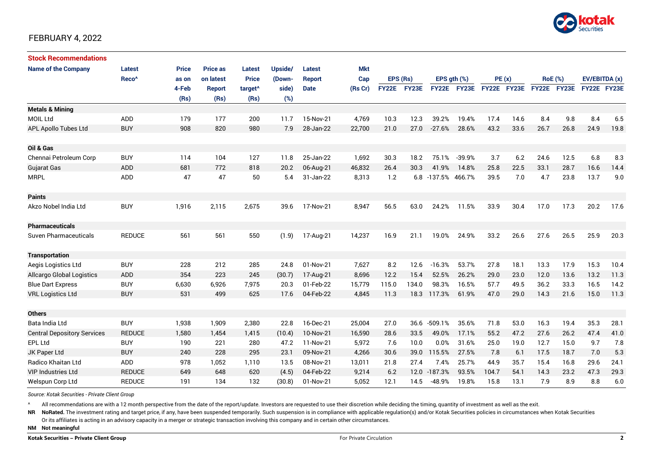

| <b>Stock Recommendations</b>       |                   |              |                 |                     |         |               |            |              |       |                    |             |             |      |                |      |               |      |
|------------------------------------|-------------------|--------------|-----------------|---------------------|---------|---------------|------------|--------------|-------|--------------------|-------------|-------------|------|----------------|------|---------------|------|
| <b>Name of the Company</b>         | Latest            | <b>Price</b> | <b>Price as</b> | <b>Latest</b>       | Upside/ | Latest        | <b>Mkt</b> |              |       |                    |             |             |      |                |      |               |      |
|                                    | Reco <sup>^</sup> | as on        | on latest       | <b>Price</b>        | (Down-  | <b>Report</b> | Cap        | EPS (Rs)     |       | EPS $qth$ $(\%)$   |             | PE(x)       |      | <b>RoE</b> (%) |      | EV/EBITDA (x) |      |
|                                    |                   | 4-Feb        | <b>Report</b>   | target <sup>^</sup> | side)   | <b>Date</b>   | (Rs Cr)    | <b>FY22E</b> | FY23E |                    | FY22E FY23E | FY22E FY23E |      | FY22E FY23E    |      | FY22E FY23E   |      |
|                                    |                   | (Rs)         | (Rs)            | (Rs)                | (%)     |               |            |              |       |                    |             |             |      |                |      |               |      |
| <b>Metals &amp; Mining</b>         |                   |              |                 |                     |         |               |            |              |       |                    |             |             |      |                |      |               |      |
| <b>MOIL Ltd</b>                    | ADD               | 179          | 177             | 200                 | 11.7    | 15-Nov-21     | 4,769      | 10.3         | 12.3  | 39.2%              | 19.4%       | 17.4        | 14.6 | 8.4            | 9.8  | 8.4           | 6.5  |
| <b>APL Apollo Tubes Ltd</b>        | <b>BUY</b>        | 908          | 820             | 980                 | 7.9     | 28-Jan-22     | 22,700     | 21.0         | 27.0  | $-27.6%$           | 28.6%       | 43.2        | 33.6 | 26.7           | 26.8 | 24.9          | 19.8 |
|                                    |                   |              |                 |                     |         |               |            |              |       |                    |             |             |      |                |      |               |      |
| Oil & Gas                          |                   |              |                 |                     |         |               |            |              |       |                    |             |             |      |                |      |               |      |
| Chennai Petroleum Corp             | <b>BUY</b>        | 114          | 104             | 127                 | 11.8    | 25-Jan-22     | 1,692      | 30.3         | 18.2  | 75.1%              | $-39.9%$    | 3.7         | 6.2  | 24.6           | 12.5 | 6.8           | 8.3  |
| <b>Gujarat Gas</b>                 | <b>ADD</b>        | 681          | 772             | 818                 | 20.2    | 06-Aug-21     | 46,832     | 26.4         | 30.3  | 41.9%              | 14.8%       | 25.8        | 22.5 | 33.1           | 28.7 | 16.6          | 14.4 |
| <b>MRPL</b>                        | ADD               | 47           | 47              | 50                  | 5.4     | 31-Jan-22     | 8,313      | 1.2          |       | 6.8 -137.5% 466.7% |             | 39.5        | 7.0  | 4.7            | 23.8 | 13.7          | 9.0  |
|                                    |                   |              |                 |                     |         |               |            |              |       |                    |             |             |      |                |      |               |      |
| <b>Paints</b>                      |                   |              |                 |                     |         |               |            |              |       |                    |             |             |      |                |      |               |      |
| Akzo Nobel India Ltd               | <b>BUY</b>        | 1,916        | 2,115           | 2,675               | 39.6    | 17-Nov-21     | 8,947      | 56.5         | 63.0  | 24.2%              | 11.5%       | 33.9        | 30.4 | 17.0           | 17.3 | 20.2          | 17.6 |
|                                    |                   |              |                 |                     |         |               |            |              |       |                    |             |             |      |                |      |               |      |
| <b>Pharmaceuticals</b>             |                   |              |                 |                     |         |               |            |              |       |                    |             |             |      |                |      |               |      |
| <b>Suven Pharmaceuticals</b>       | <b>REDUCE</b>     | 561          | 561             | 550                 | (1.9)   | 17-Aug-21     | 14,237     | 16.9         | 21.1  | 19.0%              | 24.9%       | 33.2        | 26.6 | 27.6           | 26.5 | 25.9          | 20.3 |
|                                    |                   |              |                 |                     |         |               |            |              |       |                    |             |             |      |                |      |               |      |
| <b>Transportation</b>              |                   |              |                 |                     |         |               |            |              |       |                    |             |             |      |                |      |               |      |
| Aegis Logistics Ltd                | <b>BUY</b>        | 228          | 212             | 285                 | 24.8    | 01-Nov-21     | 7,627      | 8.2          | 12.6  | $-16.3%$           | 53.7%       | 27.8        | 18.1 | 13.3           | 17.9 | 15.3          | 10.4 |
| <b>Allcargo Global Logistics</b>   | ADD               | 354          | 223             | 245                 | (30.7)  | 17-Aug-21     | 8,696      | 12.2         | 15.4  | 52.5%              | 26.2%       | 29.0        | 23.0 | 12.0           | 13.6 | 13.2          | 11.3 |
| <b>Blue Dart Express</b>           | <b>BUY</b>        | 6,630        | 6,926           | 7,975               | 20.3    | 01-Feb-22     | 15,779     | 115.0        | 134.0 | 98.3%              | 16.5%       | 57.7        | 49.5 | 36.2           | 33.3 | 16.5          | 14.2 |
| <b>VRL Logistics Ltd</b>           | <b>BUY</b>        | 531          | 499             | 625                 | 17.6    | 04-Feb-22     | 4,845      | 11.3         | 18.3  | 117.3%             | 61.9%       | 47.0        | 29.0 | 14.3           | 21.6 | 15.0          | 11.3 |
|                                    |                   |              |                 |                     |         |               |            |              |       |                    |             |             |      |                |      |               |      |
| <b>Others</b>                      |                   |              |                 |                     |         |               |            |              |       |                    |             |             |      |                |      |               |      |
| Bata India Ltd                     | <b>BUY</b>        | 1,938        | 1,909           | 2,380               | 22.8    | 16-Dec-21     | 25,004     | 27.0         | 36.6  | $-509.1%$          | 35.6%       | 71.8        | 53.0 | 16.3           | 19.4 | 35.3          | 28.1 |
| <b>Central Depository Services</b> | <b>REDUCE</b>     | 1,580        | 1.454           | 1,415               | (10.4)  | 10-Nov-21     | 16,590     | 28.6         | 33.5  | 49.0%              | 17.1%       | 55.2        | 47.2 | 27.6           | 26.2 | 47.4          | 41.0 |
| <b>EPL Ltd</b>                     | <b>BUY</b>        | 190          | 221             | 280                 | 47.2    | 11-Nov-21     | 5,972      | 7.6          | 10.0  | 0.0%               | 31.6%       | 25.0        | 19.0 | 12.7           | 15.0 | 9.7           | 7.8  |
| JK Paper Ltd                       | <b>BUY</b>        | 240          | 228             | 295                 | 23.1    | 09-Nov-21     | 4,266      | 30.6         | 39.0  | 115.5%             | 27.5%       | 7.8         | 6.1  | 17.5           | 18.7 | 7.0           | 5.3  |
| Radico Khaitan Ltd                 | ADD               | 978          | 1,052           | 1,110               | 13.5    | 08-Nov-21     | 13,011     | 21.8         | 27.4  | 7.4%               | 25.7%       | 44.9        | 35.7 | 15.4           | 16.8 | 29.6          | 24.1 |
| <b>VIP Industries Ltd</b>          | <b>REDUCE</b>     | 649          | 648             | 620                 | (4.5)   | 04-Feb-22     | 9,214      | 6.2          | 12.0  | $-187.3%$          | 93.5%       | 104.7       | 54.1 | 14.3           | 23.2 | 47.3          | 29.3 |
| Welspun Corp Ltd                   | <b>REDUCE</b>     | 191          | 134             | 132                 | (30.8)  | 01-Nov-21     | 5,052      | 12.1         | 14.5  | $-48.9%$           | 19.8%       | 15.8        | 13.1 | 7.9            | 8.9  | 8.8           | 6.0  |

*Source: Kotak Securities - Private Client Group*

All recommendations are with a 12 month perspective from the date of the report/update. Investors are requested to use their discretion while deciding the timing, quantity of investment as well as the exit.

NR NoRated. The investment rating and target price, if any, have been suspended temporarily. Such suspension is in compliance with applicable regulation(s) and/or Kotak Securities policies in circumstances when Kotak Secur

Or its affiliates is acting in an advisory capacity in a merger or strategic transaction involving this company and in certain other circumstances.

**NM Not meaningful**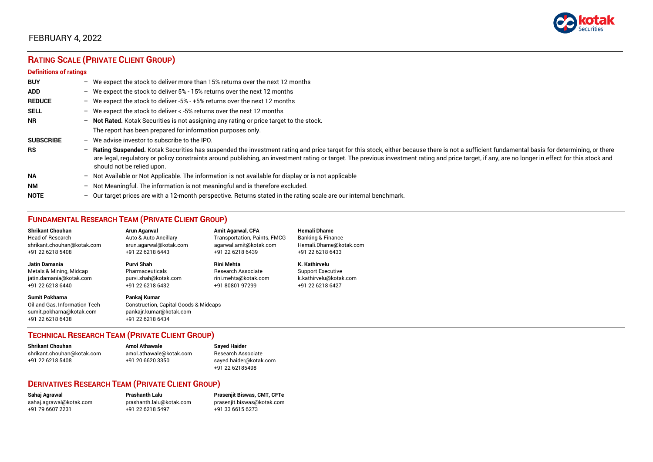

# **RATING SCALE (PRIVATE CLIENT GROUP)**

#### **Definitions of ratings**

| <b>BUY</b>       |   | - We expect the stock to deliver more than 15% returns over the next 12 months                                                                                                                                                                                                                                                                                                                                                     |
|------------------|---|------------------------------------------------------------------------------------------------------------------------------------------------------------------------------------------------------------------------------------------------------------------------------------------------------------------------------------------------------------------------------------------------------------------------------------|
| <b>ADD</b>       |   | - We expect the stock to deliver 5% - 15% returns over the next 12 months                                                                                                                                                                                                                                                                                                                                                          |
| <b>REDUCE</b>    |   | - We expect the stock to deliver -5% - +5% returns over the next 12 months                                                                                                                                                                                                                                                                                                                                                         |
| <b>SELL</b>      |   | - We expect the stock to deliver $\lt$ -5% returns over the next 12 months                                                                                                                                                                                                                                                                                                                                                         |
| <b>NR</b>        |   | - Not Rated. Kotak Securities is not assigning any rating or price target to the stock.                                                                                                                                                                                                                                                                                                                                            |
|                  |   | The report has been prepared for information purposes only.                                                                                                                                                                                                                                                                                                                                                                        |
| <b>SUBSCRIBE</b> |   | $-$ We advise investor to subscribe to the IPO.                                                                                                                                                                                                                                                                                                                                                                                    |
| <b>RS</b>        |   | - Rating Suspended. Kotak Securities has suspended the investment rating and price target for this stock, either because there is not a sufficient fundamental basis for determining, or there<br>are legal, regulatory or policy constraints around publishing, an investment rating or target. The previous investment rating and price target, if any, are no longer in effect for this stock and<br>should not be relied upon. |
| <b>NA</b>        |   | $-$ Not Available or Not Applicable. The information is not available for display or is not applicable                                                                                                                                                                                                                                                                                                                             |
| <b>NM</b>        |   | - Not Meaningful. The information is not meaningful and is therefore excluded.                                                                                                                                                                                                                                                                                                                                                     |
| <b>NOTE</b>      | - | Our target prices are with a 12-month perspective. Returns stated in the rating scale are our internal benchmark.                                                                                                                                                                                                                                                                                                                  |

# **FUNDAMENTAL RESEARCH TEAM (PRIVATE CLIENT GROUP)**

| <b>Shrikant Chouhan</b>                                                                                | Arun Agarwal                                                                                                    | <b>Amit Agarwal, CFA</b>            | <b>Hemali Dhame</b>      |
|--------------------------------------------------------------------------------------------------------|-----------------------------------------------------------------------------------------------------------------|-------------------------------------|--------------------------|
| <b>Head of Research</b>                                                                                | Auto & Auto Ancillary                                                                                           | <b>Transportation, Paints, FMCG</b> | Banking & Finance        |
| shrikant.chouhan@kotak.com                                                                             | arun.agarwal@kotak.com                                                                                          | agarwal.amit@kotak.com              | Hemali.Dhame@kotak.com   |
| +91 22 6218 5408                                                                                       | +91 22 6218 6443                                                                                                | +91 22 6218 6439                    | +91 22 6218 6433         |
| <b>Jatin Damania</b>                                                                                   | Purvi Shah                                                                                                      | <b>Rini Mehta</b>                   | K. Kathirvelu            |
| Metals & Mining, Midcap                                                                                | Pharmaceuticals                                                                                                 | Research Associate                  | <b>Support Executive</b> |
| jatin.damania@kotak.com                                                                                | purvi.shah@kotak.com                                                                                            | rini.mehta@kotak.com                | k.kathirvelu@kotak.com   |
| +91 22 6218 6440                                                                                       | +91 22 6218 6432                                                                                                | +91 80801 97299                     | +91 22 6218 6427         |
| <b>Sumit Pokharna</b><br>Oil and Gas. Information Tech<br>sumit.pokharna@kotak.com<br>+91 22 6218 6438 | Pankaj Kumar<br><b>Construction, Capital Goods &amp; Midcaps</b><br>pankajr.kumar@kotak.com<br>+91 22 6218 6434 |                                     |                          |

#### **TECHNICAL RESEARCH TEAM (PRIVATE CLIENT GROUP)**

| <b>Shrikant Chouhan</b>    | <b>Amol Athawale</b>    |   |
|----------------------------|-------------------------|---|
| shrikant.chouhan@kotak.com | amol.athawale@kotak.com | F |
| +91 22 6218 5408           | +91 20 6620 3350        | s |
|                            |                         |   |

**Shrikant Chouhan Amol Athawale Sayed Haider** Research Associate [sayed.haider@kotak.com](mailto:sayed.haider@kotak.com) +91 22 62185498

#### **DERIVATIVES RESEARCH TEAM (PRIVATE CLIENT GROUP)**

+91 22 6218 5497 +91 33 6615 6273

**Sahaj Agrawal Prashanth Lalu Prasenjit Biswas, CMT, CFTe** [sahaj.agrawal@kotak.com](mailto:sahaj.agrawal@kotak.com) [prashanth.lalu@kotak.com](mailto:prashanth.lalu@kotak.com) [prasenjit.biswas@kotak.com](mailto:prasenjit.biswas@kotak.com)